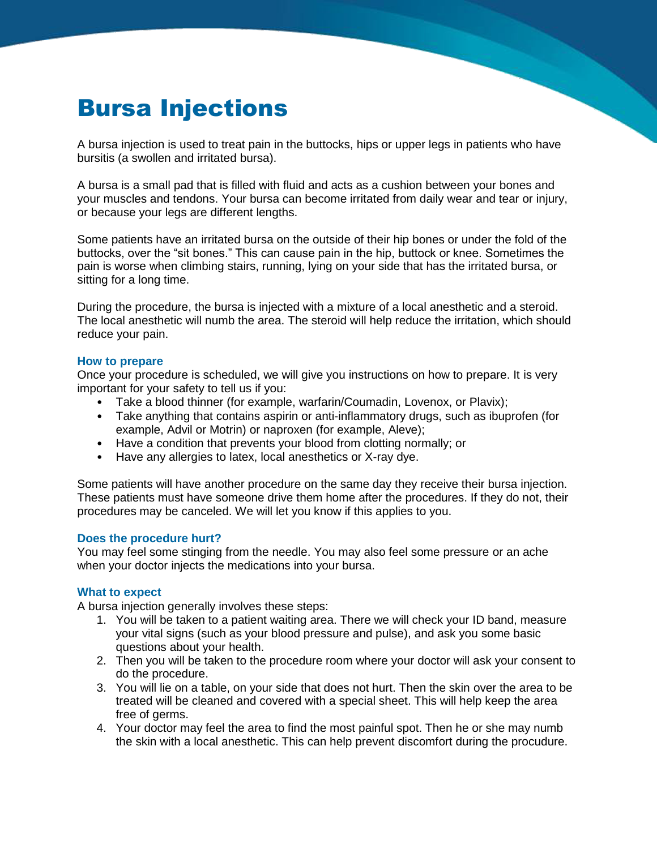# Bursa Injections

A bursa injection is used to treat pain in the buttocks, hips or upper legs in patients who have bursitis (a swollen and irritated bursa).

A bursa is a small pad that is filled with fluid and acts as a cushion between your bones and your muscles and tendons. Your bursa can become irritated from daily wear and tear or injury, or because your legs are different lengths.

Some patients have an irritated bursa on the outside of their hip bones or under the fold of the buttocks, over the "sit bones." This can cause pain in the hip, buttock or knee. Sometimes the pain is worse when climbing stairs, running, lying on your side that has the irritated bursa, or sitting for a long time.

During the procedure, the bursa is injected with a mixture of a local anesthetic and a steroid. The local anesthetic will numb the area. The steroid will help reduce the irritation, which should reduce your pain.

#### **How to prepare**

Once your procedure is scheduled, we will give you instructions on how to prepare. It is very important for your safety to tell us if you:

- Take a blood thinner (for example, warfarin/Coumadin, Lovenox, or Plavix);
- Take anything that contains aspirin or anti-inflammatory drugs, such as ibuprofen (for example, Advil or Motrin) or naproxen (for example, Aleve);
- Have a condition that prevents your blood from clotting normally; or
- Have any allergies to latex, local anesthetics or X-ray dye.

Some patients will have another procedure on the same day they receive their bursa injection. These patients must have someone drive them home after the procedures. If they do not, their procedures may be canceled. We will let you know if this applies to you.

#### **Does the procedure hurt?**

You may feel some stinging from the needle. You may also feel some pressure or an ache when your doctor injects the medications into your bursa.

### **What to expect**

A bursa injection generally involves these steps:

- 1. You will be taken to a patient waiting area. There we will check your ID band, measure your vital signs (such as your blood pressure and pulse), and ask you some basic questions about your health.
- 2. Then you will be taken to the procedure room where your doctor will ask your consent to do the procedure.
- 3. You will lie on a table, on your side that does not hurt. Then the skin over the area to be treated will be cleaned and covered with a special sheet. This will help keep the area free of germs.
- 4. Your doctor may feel the area to find the most painful spot. Then he or she may numb the skin with a local anesthetic. This can help prevent discomfort during the procudure.